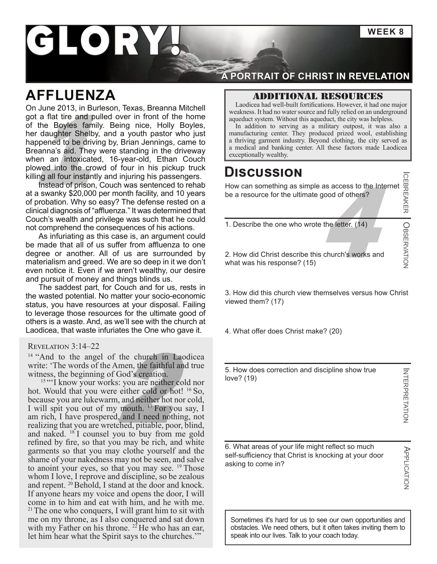**WEEK 8**

# GLORY

# **AFFLUENZA**

a flat tire and pulled over in front of the home<br>
the Boyles family. Being nice, Holly Boyles,<br>
In addition to serving as a military outpost, it was also a<br>
manufacturing center. They produced prized wool, establishing<br>
ma On June 2013, in Burleson, Texas, Breanna Mitchell got a flat tire and pulled over in front of the home of the Boyles family. Being nice, Holly Boyles, her daughter Shelby, and a youth pastor who just happened to be driving by, Brian Jennings, came to Breanna's aid. They were standing in the driveway when an intoxicated, 16-year-old, Ethan Couch plowed into the crowd of four in his pickup truck killing all four instantly and injuring his passengers.

Instead of prison, Couch was sentenced to rehab at a swanky \$20,000 per month facility, and 10 years of probation. Why so easy? The defense rested on a clinical diagnosis of "affluenza." It was determined that Couch's wealth and privilege was such that he could not comprehend the consequences of his actions.

As infuriating as this case is, an argument could be made that all of us suffer from affluenza to one degree or another. All of us are surrounded by materialism and greed. We are so deep in it we don't even notice it. Even if we aren't wealthy, our desire and pursuit of money and things blinds us.

The saddest part, for Couch and for us, rests in the wasted potential. No matter your socio-economic status, you have resources at your disposal. Failing to leverage those resources for the ultimate good of others is a waste. And, as we'll see with the church at Laodicea, that waste infuriates the One who gave it.

#### Revelation 3:14–22

<sup>14</sup> "And to the angel of the church in Laodicea write: 'The words of the Amen, the faithful and true witness, the beginning of God's creation.

<sup>14</sup> "And to the angel of the church in Laodicea write: 'The words of the Amen, the faithful and true witness, the beginning of God's creation.<br>
<sup>15</sup> "I know your works: you are neither cold nor hot. Would that you were e <sup>15</sup> "I know your works: you are neither cold nor hot. Would that you were either cold or hot! <sup>16</sup> So, because you are lukewarm, and neither hot nor cold, I will spit you out of my mouth.  $^{17}$  For you say, I realizing that you are wretched, pitiable, poor, blind, and naked. <sup>18</sup> I counsel you to buy from me gold refined by fire, so that you may be rich, and white garments so that you may clothe yourself and the shame of your nakedness may not be seen, and salve to anoint your eyes, so that you may see.  $19$  Those whom I love, I reprove and discipline, so be zealous and repent. <sup>20</sup> Behold, I stand at the door and knock. If anyone hears my voice and opens the door, I will come in to him and eat with him, and he with me.  $21$ <sup>21</sup> The one who conquers, I will grant him to sit with me on my throne, as I also conquered and sat down with my Father on his throne.  $^{22}$  He who has an ear, let him hear what the Spirit says to the churches.'"

### **A PORTRAIT OF CHRIST IN REVELATION**

#### Additional resources

Laodicea had well-built fortifications. However, it had one major weakness. It had no water source and fully relied on an underground aqueduct system. Without this aqueduct, the city was helpless.

In addition to serving as a military outpost, it was also a manufacturing center. They produced prized wool, establishing a thriving garment industry. Beyond clothing, the city served as

## **Discussion**

good of others?<br>and the letter. (14)<br>and the letter. (14) How can something as simple as access to the Internet be a resource for the ultimate good of others?

1. Describe the one who wrote the letter. (14)

2. How did Christ describe this church's works and what was his response? (15)

3. How did this church view themselves versus how Christ viewed them? (17)

4. What offer does Christ make? (20)

5. How does correction and discipline show true love? (19)

**INTERPRETATION** NTERPRETATION

 $\overline{\phantom{a}}$ 

CEBREAKER

O

BSERVATION

6. What areas of your life might reflect so much self-sufficiency that Christ is knocking at your door asking to come in?

**APPLICATION** PPLICATION

Sometimes it's hard for us to see our own opportunities and obstacles. We need others, but it often takes inviting them to speak into our lives. Talk to your coach today.